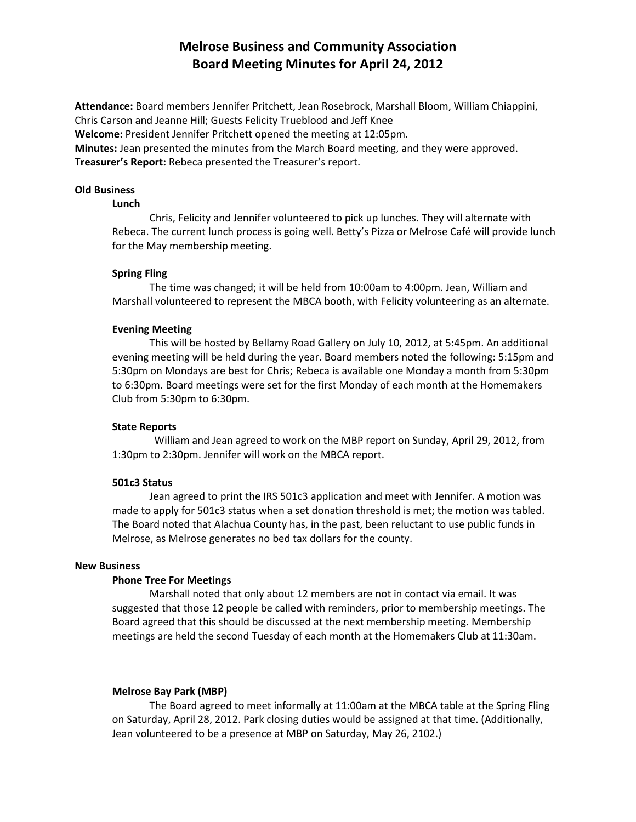# Melrose Business and Community Association Board Meeting Minutes for April 24, 2012

Attendance: Board members Jennifer Pritchett, Jean Rosebrock, Marshall Bloom, William Chiappini, Chris Carson and Jeanne Hill; Guests Felicity Trueblood and Jeff Knee Welcome: President Jennifer Pritchett opened the meeting at 12:05pm. Minutes: Jean presented the minutes from the March Board meeting, and they were approved. Treasurer's Report: Rebeca presented the Treasurer's report.

#### Old Business

#### Lunch

Chris, Felicity and Jennifer volunteered to pick up lunches. They will alternate with Rebeca. The current lunch process is going well. Betty's Pizza or Melrose Café will provide lunch for the May membership meeting.

#### Spring Fling

The time was changed; it will be held from 10:00am to 4:00pm. Jean, William and Marshall volunteered to represent the MBCA booth, with Felicity volunteering as an alternate.

#### Evening Meeting

This will be hosted by Bellamy Road Gallery on July 10, 2012, at 5:45pm. An additional evening meeting will be held during the year. Board members noted the following: 5:15pm and 5:30pm on Mondays are best for Chris; Rebeca is available one Monday a month from 5:30pm to 6:30pm. Board meetings were set for the first Monday of each month at the Homemakers Club from 5:30pm to 6:30pm.

## State Reports

William and Jean agreed to work on the MBP report on Sunday, April 29, 2012, from 1:30pm to 2:30pm. Jennifer will work on the MBCA report.

#### 501c3 Status

Jean agreed to print the IRS 501c3 application and meet with Jennifer. A motion was made to apply for 501c3 status when a set donation threshold is met; the motion was tabled. The Board noted that Alachua County has, in the past, been reluctant to use public funds in Melrose, as Melrose generates no bed tax dollars for the county.

#### New Business

## Phone Tree For Meetings

Marshall noted that only about 12 members are not in contact via email. It was suggested that those 12 people be called with reminders, prior to membership meetings. The Board agreed that this should be discussed at the next membership meeting. Membership meetings are held the second Tuesday of each month at the Homemakers Club at 11:30am.

## Melrose Bay Park (MBP)

The Board agreed to meet informally at 11:00am at the MBCA table at the Spring Fling on Saturday, April 28, 2012. Park closing duties would be assigned at that time. (Additionally, Jean volunteered to be a presence at MBP on Saturday, May 26, 2102.)